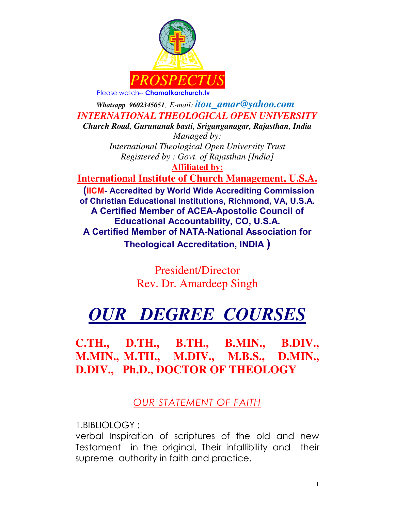

 *Whatsapp 9602345051, E-mail: itou\_amar@yahoo.com INTERNATIONAL THEOLOGICAL OPEN UNIVERSITY Church Road, Gurunanak basti, Sriganganagar, Rajasthan, India Managed by: International Theological Open University Trust Registered by : Govt. of Rajasthan [India]*  **Affiliated by: International Institute of Church Management, U.S.A. (IICM- Accredited by World Wide Accrediting Commission of Christian Educational Institutions, Richmond, VA, U.S.A. A Certified Member of ACEA-Apostolic Council of Educational Accountability, CO, U.S.A. A Certified Member of NATA-National Association for** 

**Theological Accreditation, INDIA )**

President/Director Rev. Dr. Amardeep Singh

# *OUR DEGREE COURSES*

**C.TH., D.TH., B.TH., B.MIN., B.DIV., M.MIN., M.TH., M.DIV., M.B.S., D.MIN., D.DIV., Ph.D., DOCTOR OF THEOLOGY**

*OUR STATEMENT OF FAITH* 

1.BIBLIOLOGY :

verbal Inspiration of scriptures of the old and new Testament in the original. Their infallibility and their supreme authority in faith and practice.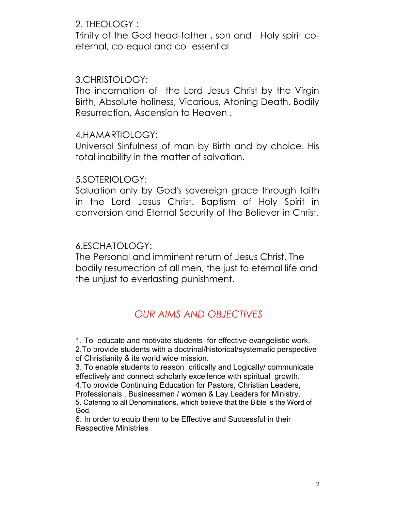#### 2. THEOLOGY :

Trinity of the God head-father , son and Holy spirit coeternal, co-equal and co- essential

### 3.CHRISTOLOGY:

The incarnation of the Lord Jesus Christ by the Virgin Birth, Absolute holiness, Vicarious, Atoning Death, Bodily Resurrection, Ascension to Heaven .

#### 4.HAMARTIOLOGY:

Universal Sinfulness of man by Birth and by choice. His total inability in the matter of salvation.

#### 5.SOTERIOLOGY:

Saluation only by God's sovereign grace through faith in the Lord Jesus Christ. Baptism of Holy Spirit in conversion and Eternal Security of the Believer in Christ.

#### 6.ESCHATOLOGY:

The Personal and imminent return of Jesus Christ. The bodily resurrection of all men, the just to eternal life and the unjust to everlasting punishment.

# *OUR AIMS AND OBJECTIVES*

1. To educate and motivate students for effective evangelistic work.

2.To provide students with a doctrinal/historical/systematic perspective of Christianity & its world wide mission.

3. To enable students to reason critically and Logically/ communicate effectively and connect scholarly excellence with spiritual growth.

4.To provide Continuing Education for Pastors, Christian Leaders,

Professionals , Businessmen / women & Lay Leaders for Ministry. 5. Catering to all Denominations, which believe that the Bible is the Word of God.

6. In order to equip them to be Effective and Successful in their Respective Ministries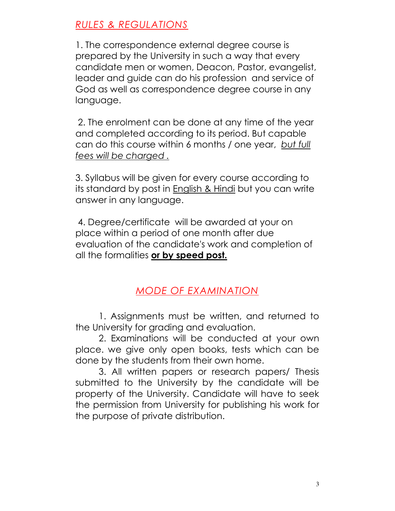# *RULES & REGULATIONS*

1. The correspondence external degree course is prepared by the University in such a way that every candidate men or women, Deacon, Pastor, evangelist, leader and guide can do his profession and service of God as well as correspondence degree course in any language.

 2. The enrolment can be done at any time of the year and completed according to its period. But capable can do this course within 6 months / one year, *but full fees will be charged .*

3. Syllabus will be given for every course according to its standard by post in English & Hindi but you can write answer in any language.

 4. Degree/certificate will be awarded at your on place within a period of one month after due evaluation of the candidate's work and completion of all the formalities **or by speed post.**

# *MODE OF EXAMINATION*

1. Assignments must be written, and returned to the University for grading and evaluation.

 2. Examinations will be conducted at your own place. we give only open books, tests which can be done by the students from their own home.

 3. All written papers or research papers/ Thesis submitted to the University by the candidate will be property of the University. Candidate will have to seek the permission from University for publishing his work for the purpose of private distribution.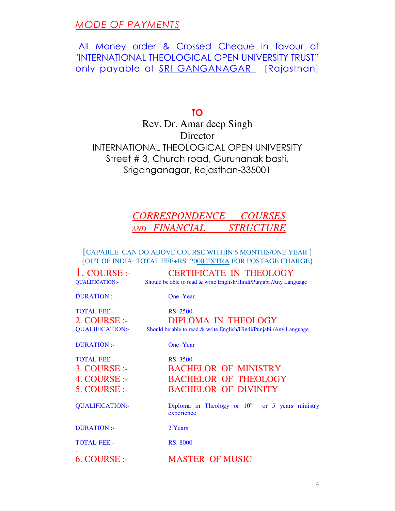### *MODE OF PAYMENTS*

## All Money order & Crossed Cheque in favour of "INTERNATIONAL THEOLOGICAL OPEN UNIVERSITY TRUST" only payable at SRI GANGANAGAR [Rajasthan]

**TO**

Rev. Dr. Amar deep Singh **Director** INTERNATIONAL THEOLOGICAL OPEN UNIVERSITY Street # 3, Church road, Gurunanak basti, Sriganganagar, Rajasthan-335001

# *CORRESPONDENCE COURSES AND FINANCIAL STRUCTURE*

[CAPABLE CAN DO ABOVE COURSE WITHIN 6 MONTHS/ONE YEAR ] {OUT OF INDIA: TOTAL FEE+RS. 2000 EXTRA FOR POSTAGE CHARGE}

| $1. \overline{COLRSE}$ :<br><b>QUALIFICATION:-</b>                                  | <b>CERTIFICATE IN THEOLOGY</b><br>Should be able to read & write English/Hindi/Punjabi /Any Language         |
|-------------------------------------------------------------------------------------|--------------------------------------------------------------------------------------------------------------|
| <b>DURATION:-</b>                                                                   | One Year                                                                                                     |
| <b>TOTAL FEE:-</b><br>2. COURSE:<br><b>QUALIFICATION:-</b>                          | RS. 2500<br><b>DIPLOMA IN THEOLOGY</b><br>Should be able to read & write English/Hindi/Punjabi /Any Language |
| <b>DURATION:-</b>                                                                   | One Year                                                                                                     |
| <b>TOTAL FEE:-</b><br>$3. \text{COUNSE}$ :<br>4. COURSE:-<br>$5. \textrm{COLRSE}$ : | <b>RS. 3500</b><br><b>BACHELOR OF MINISTRY</b><br><b>BACHELOR OF THEOLOGY</b><br><b>BACHELOR OF DIVINITY</b> |
| <b>QUALIFICATION:-</b>                                                              | Diploma in Theology or $10^{th}$ or 5 years ministry<br>experience                                           |
| DURATION :-                                                                         | 2 Years                                                                                                      |
| <b>TOTAL FEE:-</b>                                                                  | <b>RS. 8000</b>                                                                                              |
| 6. COURSE:                                                                          | <b>MASTER OF MUSIC</b>                                                                                       |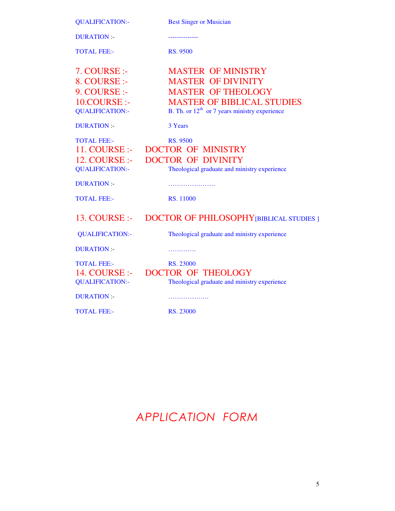QUALIFICATION:- Best Singer or Musician

DURATION :- --------------

TOTAL FEE:- RS. 9500

| 7. COURSE:-<br>8. COURSE:-<br>9. COURSE:<br>10.COURSE:-<br><b>QUALIFICATION:-</b> | <b>MASTER OF MINISTRY</b><br><b>MASTER OF DIVINITY</b><br><b>MASTER OF THEOLOGY</b><br><b>MASTER OF BIBLICAL STUDIES</b><br>B. Th. or $12th$ or 7 years ministry experience |
|-----------------------------------------------------------------------------------|-----------------------------------------------------------------------------------------------------------------------------------------------------------------------------|
| <b>DURATION:-</b>                                                                 | 3 Years                                                                                                                                                                     |
| <b>TOTAL FEE:-</b><br>11. COURSE :-<br>12. COURSE :-<br><b>QUALIFICATION:-</b>    | <b>RS. 9500</b><br><b>DOCTOR OF MINISTRY</b><br><b>DOCTOR OF DIVINITY</b><br>Theological graduate and ministry experience                                                   |
| <b>DURATION:-</b>                                                                 |                                                                                                                                                                             |
| <b>TOTAL FEE:-</b>                                                                | RS. 11000                                                                                                                                                                   |
| $13. \text{COUNSE}$ :-                                                            | <b>DOCTOR OF PHILOSOPHY [BIBLICAL STUDIES ]</b>                                                                                                                             |
| <b>QUALIFICATION:-</b>                                                            | Theological graduate and ministry experience                                                                                                                                |
| <b>DURATION:-</b>                                                                 | .                                                                                                                                                                           |
| <b>TOTAL FEE:-</b><br>14. COURSE :-<br><b>QUALIFICATION:-</b>                     | RS. 23000<br><b>DOCTOR OF THEOLOGY</b><br>Theological graduate and ministry experience                                                                                      |
| <b>DURATION:-</b>                                                                 | .                                                                                                                                                                           |
| <b>TOTAL FEE:-</b>                                                                | RS. 23000                                                                                                                                                                   |

# *APPLICATION FORM*